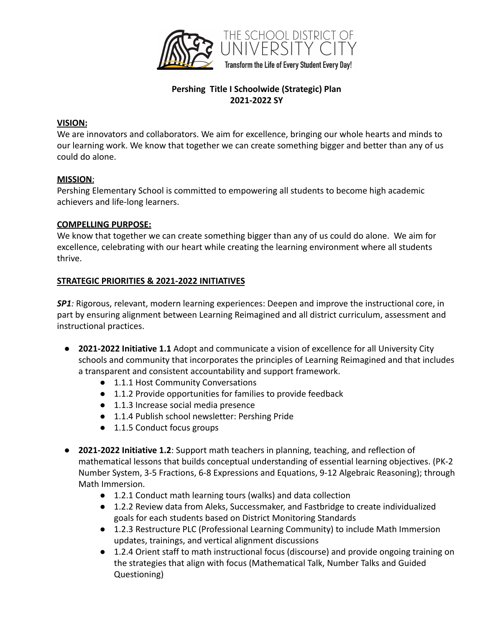

# **Pershing Title I Schoolwide (Strategic) Plan 2021-2022 SY**

#### **VISION:**

We are innovators and collaborators. We aim for excellence, bringing our whole hearts and minds to our learning work. We know that together we can create something bigger and better than any of us could do alone.

### **MISSION**:

Pershing Elementary School is committed to empowering all students to become high academic achievers and life-long learners.

### **COMPELLING PURPOSE:**

We know that together we can create something bigger than any of us could do alone. We aim for excellence, celebrating with our heart while creating the learning environment where all students thrive.

### **STRATEGIC PRIORITIES & 2021-2022 INITIATIVES**

*SP1:* Rigorous, relevant, modern learning experiences: Deepen and improve the instructional core, in part by ensuring alignment between Learning Reimagined and all district curriculum, assessment and instructional practices.

- **2021-2022 Initiative 1.1** Adopt and communicate a vision of excellence for all University City schools and community that incorporates the principles of Learning Reimagined and that includes a transparent and consistent accountability and support framework.
	- 1.1.1 Host Community Conversations
	- 1.1.2 Provide opportunities for families to provide feedback
	- 1.1.3 Increase social media presence
	- 1.1.4 Publish school newsletter: Pershing Pride
	- 1.1.5 Conduct focus groups
- **2021-2022 Initiative 1.2**: Support math teachers in planning, teaching, and reflection of mathematical lessons that builds conceptual understanding of essential learning objectives. (PK-2 Number System, 3-5 Fractions, 6-8 Expressions and Equations, 9-12 Algebraic Reasoning); through Math Immersion.
	- 1.2.1 Conduct math learning tours (walks) and data collection
	- 1.2.2 Review data from Aleks, Successmaker, and Fastbridge to create individualized goals for each students based on District Monitoring Standards
	- 1.2.3 Restructure PLC (Professional Learning Community) to include Math Immersion updates, trainings, and vertical alignment discussions
	- 1.2.4 Orient staff to math instructional focus (discourse) and provide ongoing training on the strategies that align with focus (Mathematical Talk, Number Talks and Guided Questioning)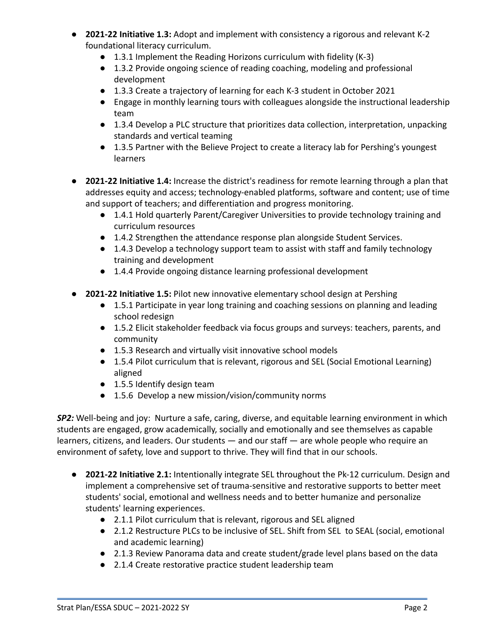- **2021-22 Initiative 1.3:** Adopt and implement with consistency a rigorous and relevant K-2 foundational literacy curriculum.
	- 1.3.1 Implement the Reading Horizons curriculum with fidelity (K-3)
	- 1.3.2 Provide ongoing science of reading coaching, modeling and professional development
	- 1.3.3 Create a trajectory of learning for each K-3 student in October 2021
	- Engage in monthly learning tours with colleagues alongside the instructional leadership team
	- 1.3.4 Develop a PLC structure that prioritizes data collection, interpretation, unpacking standards and vertical teaming
	- 1.3.5 Partner with the Believe Project to create a literacy lab for Pershing's youngest learners
- **2021-22 Initiative 1.4:** Increase the district's readiness for remote learning through a plan that addresses equity and access; technology-enabled platforms, software and content; use of time and support of teachers; and differentiation and progress monitoring.
	- 1.4.1 Hold quarterly Parent/Caregiver Universities to provide technology training and curriculum resources
	- 1.4.2 Strengthen the attendance response plan alongside Student Services.
	- 1.4.3 Develop a technology support team to assist with staff and family technology training and development
	- 1.4.4 Provide ongoing distance learning professional development
- **2021-22 Initiative 1.5:** Pilot new innovative elementary school design at Pershing
	- 1.5.1 Participate in year long training and coaching sessions on planning and leading school redesign
	- 1.5.2 Elicit stakeholder feedback via focus groups and surveys: teachers, parents, and community
	- 1.5.3 Research and virtually visit innovative school models
	- 1.5.4 Pilot curriculum that is relevant, rigorous and SEL (Social Emotional Learning) aligned
	- 1.5.5 Identify design team
	- 1.5.6 Develop a new mission/vision/community norms

*SP2:* Well-being and joy: Nurture a safe, caring, diverse, and equitable learning environment in which students are engaged, grow academically, socially and emotionally and see themselves as capable learners, citizens, and leaders. Our students — and our staff — are whole people who require an environment of safety, love and support to thrive. They will find that in our schools.

- **2021-22 Initiative 2.1:** Intentionally integrate SEL throughout the Pk-12 curriculum. Design and implement a comprehensive set of trauma-sensitive and restorative supports to better meet students' social, emotional and wellness needs and to better humanize and personalize students' learning experiences.
	- 2.1.1 Pilot curriculum that is relevant, rigorous and SEL aligned
	- 2.1.2 Restructure PLCs to be inclusive of SEL. Shift from SEL to SEAL (social, emotional and academic learning)
	- 2.1.3 Review Panorama data and create student/grade level plans based on the data
	- 2.1.4 Create restorative practice student leadership team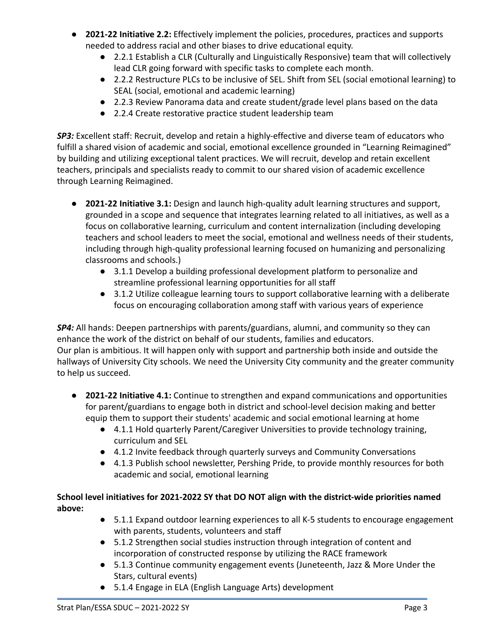- **2021-22 Initiative 2.2:** Effectively implement the policies, procedures, practices and supports needed to address racial and other biases to drive educational equity.
	- 2.2.1 Establish a CLR (Culturally and Linguistically Responsive) team that will collectively lead CLR going forward with specific tasks to complete each month.
	- 2.2.2 Restructure PLCs to be inclusive of SEL. Shift from SEL (social emotional learning) to SEAL (social, emotional and academic learning)
	- 2.2.3 Review Panorama data and create student/grade level plans based on the data
	- 2.2.4 Create restorative practice student leadership team

*SP3:* Excellent staff: Recruit, develop and retain a highly-effective and diverse team of educators who fulfill a shared vision of academic and social, emotional excellence grounded in "Learning Reimagined" by building and utilizing exceptional talent practices. We will recruit, develop and retain excellent teachers, principals and specialists ready to commit to our shared vision of academic excellence through Learning Reimagined.

- **2021-22 Initiative 3.1:** Design and launch high-quality adult learning structures and support, grounded in a scope and sequence that integrates learning related to all initiatives, as well as a focus on collaborative learning, curriculum and content internalization (including developing teachers and school leaders to meet the social, emotional and wellness needs of their students, including through high-quality professional learning focused on humanizing and personalizing classrooms and schools.)
	- 3.1.1 Develop a building professional development platform to personalize and streamline professional learning opportunities for all staff
	- 3.1.2 Utilize colleague learning tours to support collaborative learning with a deliberate focus on encouraging collaboration among staff with various years of experience

*SP4:* All hands: Deepen partnerships with parents/guardians, alumni, and community so they can enhance the work of the district on behalf of our students, families and educators. Our plan is ambitious. It will happen only with support and partnership both inside and outside the hallways of University City schools. We need the University City community and the greater community to help us succeed.

- **2021-22 Initiative 4.1:** Continue to strengthen and expand communications and opportunities for parent/guardians to engage both in district and school-level decision making and better equip them to support their students' academic and social emotional learning at home
	- 4.1.1 Hold quarterly Parent/Caregiver Universities to provide technology training, curriculum and SEL
	- 4.1.2 Invite feedback through quarterly surveys and Community Conversations
	- 4.1.3 Publish school newsletter, Pershing Pride, to provide monthly resources for both academic and social, emotional learning

# **School level initiatives for 2021-2022 SY that DO NOT align with the district-wide priorities named above:**

- 5.1.1 Expand outdoor learning experiences to all K-5 students to encourage engagement with parents, students, volunteers and staff
- 5.1.2 Strengthen social studies instruction through integration of content and incorporation of constructed response by utilizing the RACE framework
- 5.1.3 Continue community engagement events (Juneteenth, Jazz & More Under the Stars, cultural events)
- 5.1.4 Engage in ELA (English Language Arts) development